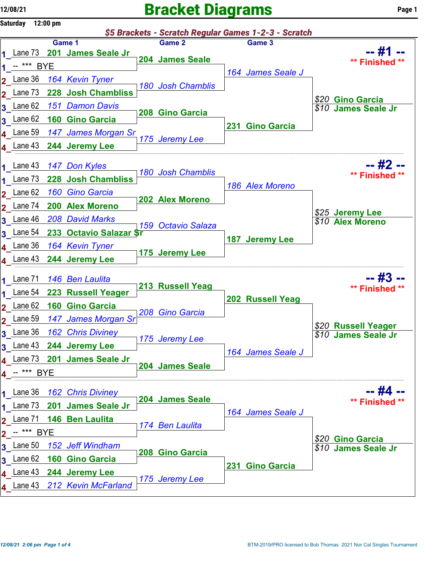2\_

3\_

3\_

## $12/08/21$  Page 1

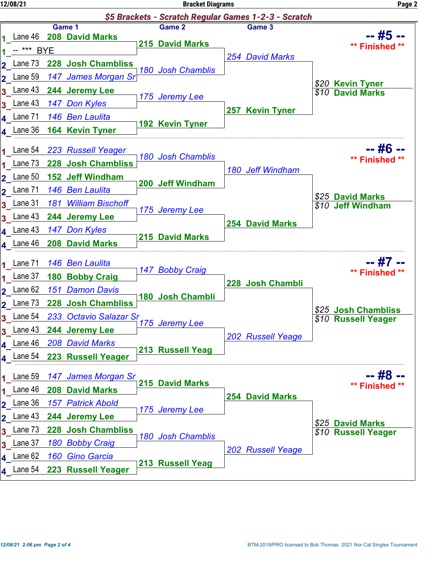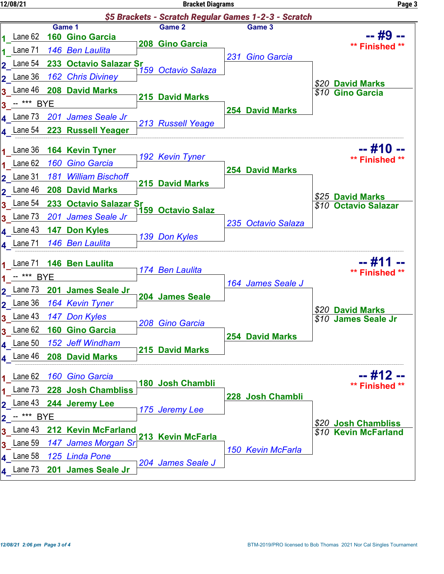